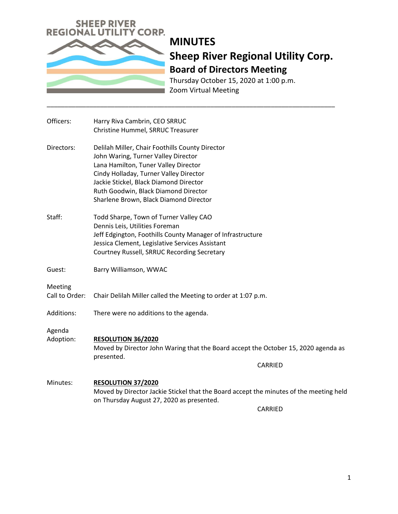

# **MINUTES Sheep River Regional Utility Corp. Board of Directors Meeting**

Thursday October 15, 2020 at 1:00 p.m. Zoom Virtual Meeting

| Officers:                 | Harry Riva Cambrin, CEO SRRUC                                                                                                                                                                                                                                                                        |
|---------------------------|------------------------------------------------------------------------------------------------------------------------------------------------------------------------------------------------------------------------------------------------------------------------------------------------------|
|                           | Christine Hummel, SRRUC Treasurer                                                                                                                                                                                                                                                                    |
| Directors:                | Delilah Miller, Chair Foothills County Director<br>John Waring, Turner Valley Director<br>Lana Hamilton, Tuner Valley Director<br>Cindy Holladay, Turner Valley Director<br>Jackie Stickel, Black Diamond Director<br>Ruth Goodwin, Black Diamond Director<br>Sharlene Brown, Black Diamond Director |
| Staff:                    | Todd Sharpe, Town of Turner Valley CAO<br>Dennis Leis, Utilities Foreman<br>Jeff Edgington, Foothills County Manager of Infrastructure<br>Jessica Clement, Legislative Services Assistant<br>Courtney Russell, SRRUC Recording Secretary                                                             |
| Guest:                    | Barry Williamson, WWAC                                                                                                                                                                                                                                                                               |
| Meeting<br>Call to Order: | Chair Delilah Miller called the Meeting to order at 1:07 p.m.                                                                                                                                                                                                                                        |
| Additions:                | There were no additions to the agenda.                                                                                                                                                                                                                                                               |
| Agenda<br>Adoption:       | <b>RESOLUTION 36/2020</b><br>Moved by Director John Waring that the Board accept the October 15, 2020 agenda as<br>presented.                                                                                                                                                                        |
|                           | <b>CARRIED</b>                                                                                                                                                                                                                                                                                       |
| Minutes:                  | <b>RESOLUTION 37/2020</b><br>Moved by Director Jackie Stickel that the Board accept the minutes of the meeting held<br>on Thursday August 27, 2020 as presented.                                                                                                                                     |
|                           | <b>CARRIED</b>                                                                                                                                                                                                                                                                                       |

\_\_\_\_\_\_\_\_\_\_\_\_\_\_\_\_\_\_\_\_\_\_\_\_\_\_\_\_\_\_\_\_\_\_\_\_\_\_\_\_\_\_\_\_\_\_\_\_\_\_\_\_\_\_\_\_\_\_\_\_\_\_\_\_\_\_\_\_\_\_\_\_\_\_\_\_\_\_\_\_\_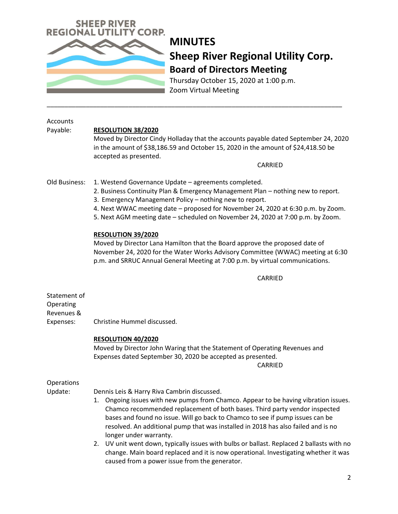

# **MINUTES Sheep River Regional Utility Corp. Board of Directors Meeting**

Thursday October 15, 2020 at 1:00 p.m. Zoom Virtual Meeting

\_\_\_\_\_\_\_\_\_\_\_\_\_\_\_\_\_\_\_\_\_\_\_\_\_\_\_\_\_\_\_\_\_\_\_\_\_\_\_\_\_\_\_\_\_\_\_\_\_\_\_\_\_\_\_\_\_\_\_\_\_\_\_\_\_\_\_\_\_\_\_\_\_\_\_\_\_\_\_\_\_\_\_

| Accounts<br>Payable:                                 | <b>RESOLUTION 38/2020</b><br>Moved by Director Cindy Holladay that the accounts payable dated September 24, 2020<br>in the amount of \$38,186.59 and October 15, 2020 in the amount of \$24,418.50 be<br>accepted as presented.<br>CARRIED                                                                                                                                                                                                                                                                                                                                                                                                               |
|------------------------------------------------------|----------------------------------------------------------------------------------------------------------------------------------------------------------------------------------------------------------------------------------------------------------------------------------------------------------------------------------------------------------------------------------------------------------------------------------------------------------------------------------------------------------------------------------------------------------------------------------------------------------------------------------------------------------|
| Old Business:                                        | 1. Westend Governance Update - agreements completed.<br>2. Business Continuity Plan & Emergency Management Plan - nothing new to report.<br>3. Emergency Management Policy - nothing new to report.<br>4. Next WWAC meeting date - proposed for November 24, 2020 at 6:30 p.m. by Zoom.<br>5. Next AGM meeting date - scheduled on November 24, 2020 at 7:00 p.m. by Zoom.                                                                                                                                                                                                                                                                               |
|                                                      | <b>RESOLUTION 39/2020</b><br>Moved by Director Lana Hamilton that the Board approve the proposed date of<br>November 24, 2020 for the Water Works Advisory Committee (WWAC) meeting at 6:30<br>p.m. and SRRUC Annual General Meeting at 7:00 p.m. by virtual communications.                                                                                                                                                                                                                                                                                                                                                                             |
|                                                      | CARRIED                                                                                                                                                                                                                                                                                                                                                                                                                                                                                                                                                                                                                                                  |
| Statement of<br>Operating<br>Revenues &<br>Expenses: | Christine Hummel discussed.                                                                                                                                                                                                                                                                                                                                                                                                                                                                                                                                                                                                                              |
|                                                      | RESOLUTION 40/2020<br>Moved by Director John Waring that the Statement of Operating Revenues and<br>Expenses dated September 30, 2020 be accepted as presented.<br><b>CARRIED</b>                                                                                                                                                                                                                                                                                                                                                                                                                                                                        |
| Operations<br>Update:                                | Dennis Leis & Harry Riva Cambrin discussed.<br>1. Ongoing issues with new pumps from Chamco. Appear to be having vibration issues.<br>Chamco recommended replacement of both bases. Third party vendor inspected<br>bases and found no issue. Will go back to Chamco to see if pump issues can be<br>resolved. An additional pump that was installed in 2018 has also failed and is no<br>longer under warranty.<br>UV unit went down, typically issues with bulbs or ballast. Replaced 2 ballasts with no<br>2.<br>change. Main board replaced and it is now operational. Investigating whether it was<br>caused from a power issue from the generator. |